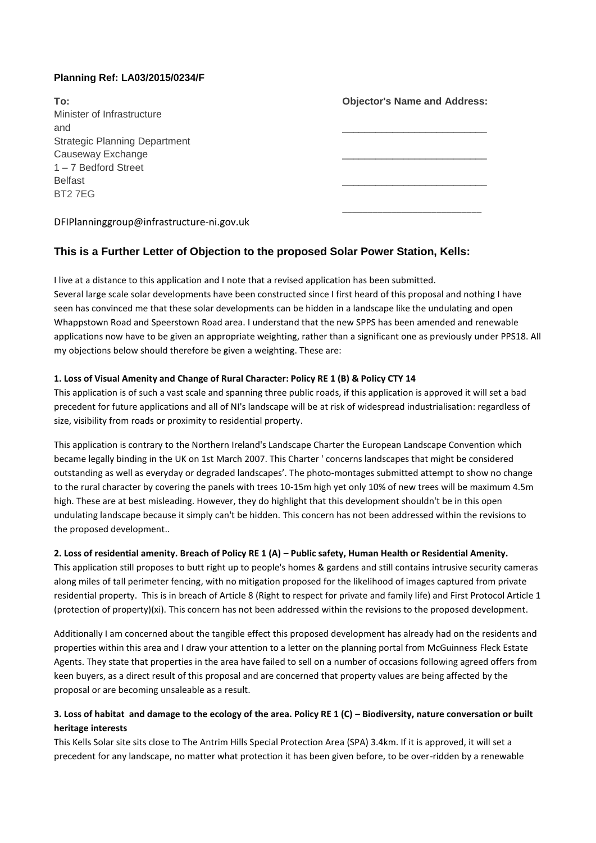### **Planning Ref: LA03/2015/0234/F**

| To:                                       | <b>Objector's Name and Address:</b> |
|-------------------------------------------|-------------------------------------|
| Minister of Infrastructure                |                                     |
| and                                       |                                     |
| <b>Strategic Planning Department</b>      |                                     |
| Causeway Exchange                         |                                     |
| $1 - 7$ Bedford Street                    |                                     |
| <b>Belfast</b>                            |                                     |
| BT <sub>2</sub> 7EG                       |                                     |
| DFIPlanninggroup@infrastructure-ni.gov.uk |                                     |

# **This is a Further Letter of Objection to the proposed Solar Power Station, Kells:**

I live at a distance to this application and I note that a revised application has been submitted. Several large scale solar developments have been constructed since I first heard of this proposal and nothing I have seen has convinced me that these solar developments can be hidden in a landscape like the undulating and open Whappstown Road and Speerstown Road area. I understand that the new SPPS has been amended and renewable applications now have to be given an appropriate weighting, rather than a significant one as previously under PPS18. All my objections below should therefore be given a weighting. These are:

### **1. Loss of Visual Amenity and Change of Rural Character: Policy RE 1 (B) & Policy CTY 14**

This application is of such a vast scale and spanning three public roads, if this application is approved it will set a bad precedent for future applications and all of NI's landscape will be at risk of widespread industrialisation: regardless of size, visibility from roads or proximity to residential property.

This application is contrary to the Northern Ireland's Landscape Charter the European Landscape Convention which became legally binding in the UK on 1st March 2007. This Charter ' concerns landscapes that might be considered outstanding as well as everyday or degraded landscapes'. The photo-montages submitted attempt to show no change to the rural character by covering the panels with trees 10-15m high yet only 10% of new trees will be maximum 4.5m high. These are at best misleading. However, they do highlight that this development shouldn't be in this open undulating landscape because it simply can't be hidden. This concern has not been addressed within the revisions to the proposed development..

### **2. Loss of residential amenity. Breach of Policy RE 1 (A) – Public safety, Human Health or Residential Amenity.**

This application still proposes to butt right up to people's homes & gardens and still contains intrusive security cameras along miles of tall perimeter fencing, with no mitigation proposed for the likelihood of images captured from private residential property. This is in breach of Article 8 (Right to respect for private and family life) and First Protocol Article 1 (protection of property)(xi). This concern has not been addressed within the revisions to the proposed development.

Additionally I am concerned about the tangible effect this proposed development has already had on the residents and properties within this area and I draw your attention to a letter on the planning portal from McGuinness Fleck Estate Agents. They state that properties in the area have failed to sell on a number of occasions following agreed offers from keen buyers, as a direct result of this proposal and are concerned that property values are being affected by the proposal or are becoming unsaleable as a result.

## **3. Loss of habitat and damage to the ecology of the area. Policy RE 1 (C) – Biodiversity, nature conversation or built heritage interests**

This Kells Solar site sits close to The Antrim Hills Special Protection Area (SPA) 3.4km. If it is approved, it will set a precedent for any landscape, no matter what protection it has been given before, to be over-ridden by a renewable